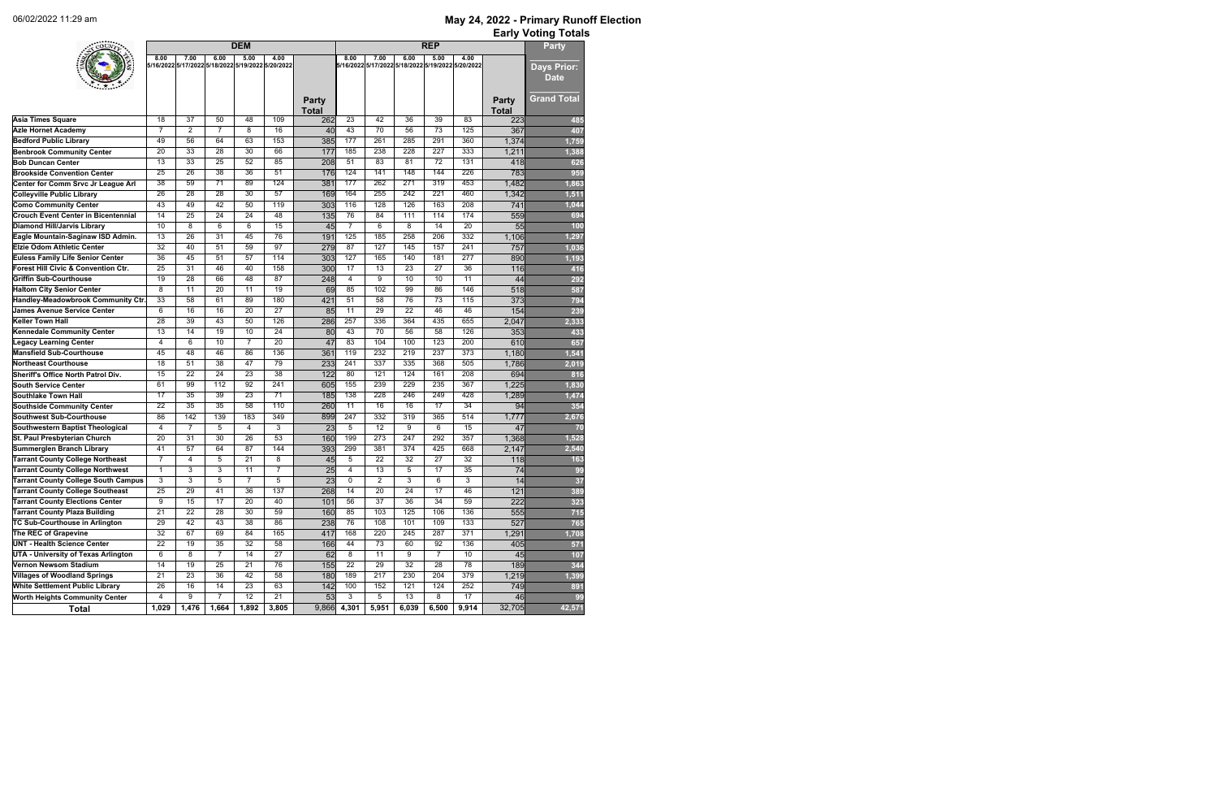| 8.00<br>7.00<br>6.00<br>5.00<br>4.00<br>8.00<br>7.00<br>6.00<br>5.00<br>4.00<br>5/16/2022 5/17/2022 5/18/2022 5/19/2022 5/20/2022<br>5/16/2022 5/17/2022 5/18/2022 5/19/2022 5/20/2022<br><b>Days Prior:</b><br><b>Date</b><br><b>Grand Total</b><br><b>Party</b><br><b>Party</b><br><b>Total</b><br><b>Total</b><br>$\overline{42}$<br>$\overline{37}$<br>50<br>48<br>109<br>$\overline{23}$<br>$\overline{36}$<br>$\overline{39}$<br>83<br><b>Asia Times Square</b><br>18<br>262<br>223<br>$\overline{7}$<br>$\overline{7}$<br>43<br>70<br>$\overline{56}$<br>$\overline{73}$<br>125<br>2<br>8<br>16<br>367<br><b>Azle Hornet Academy</b><br>40<br>177<br>153<br>261<br>285<br>291<br>49<br>56<br>64<br>63<br>385<br>360<br>1,374<br><b>Bedford Public Library</b><br>$\overline{33}$<br>$\overline{28}$<br>66<br>238<br>228<br>227<br>333<br><b>Benbrook Community Center</b><br>20<br>30<br>177<br>185<br>1,211<br>1,388<br>$\overline{33}$<br>$\overline{25}$<br>85<br>$\overline{51}$<br>83<br>$\overline{81}$<br>$\overline{13}$<br>52<br>$\overline{72}$<br>131<br><b>Bob Duncan Center</b><br>208<br>626<br>418<br>$\overline{26}$<br>$\overline{38}$<br>124<br>141<br>148<br>226<br>25<br>36<br>51<br>176<br>144<br>783<br>959<br><b>Brookside Convention Center</b><br>$\overline{38}$<br>59<br>$\overline{71}$<br>89<br>124<br>177<br>262<br>271<br>319<br>453<br>381<br>1,482<br>Center for Comm Srvc Jr League Arl<br>1,863<br>255<br>$\overline{26}$<br>$\overline{28}$<br>$\overline{28}$<br>$\overline{30}$<br>$\overline{57}$<br>164<br>242<br>221<br>460<br><b>Colleyville Public Library</b><br>169<br>1,342<br>1,511<br>$\overline{43}$<br>49<br>$\overline{42}$<br>128<br>126<br>$\overline{208}$<br><b>Como Community Center</b><br>50<br>119<br>116<br>163<br>303<br>741<br>1,044<br>$\overline{76}$<br>$\overline{25}$<br>$\overline{24}$<br>$\overline{24}$<br>$\overline{48}$<br>84<br>174<br><b>Crouch Event Center in Bicentennial</b><br>14<br>135<br>111<br>114<br>559<br>694<br>$\overline{6}$<br>$\overline{10}$<br>8<br>6<br>$\overline{15}$<br>45<br>$\overline{7}$<br>8<br>$\overline{14}$<br>$\overline{20}$<br><b>Diamond Hill/Jarvis Library</b><br>6<br>55<br>100<br>$\overline{26}$<br>185<br>258<br>332<br>$\overline{31}$<br>45<br>76<br>125<br>206<br>$\overline{13}$<br>Eagle Mountain-Saginaw ISD Admin.<br>191<br>1,106<br>1,297<br>$\overline{87}$<br>$\overline{32}$<br>40<br>$\overline{97}$<br>127<br>145<br>157<br>241<br>51<br>59<br>757<br><b>Elzie Odom Athletic Center</b><br>279<br>1,036<br>$\overline{36}$<br>45<br>127<br>165<br>140<br>181<br>$\overline{277}$<br><b>Euless Family Life Senior Center</b><br>51<br>57<br>114<br>303<br>890<br>1,193<br>17<br>$\overline{25}$<br>$\overline{31}$<br>46<br>158<br>$\overline{13}$<br>$\overline{23}$<br>$\overline{27}$<br>$\overline{36}$<br>Forest Hill Civic & Convention Ctr.<br>40<br>300<br>116<br>416<br>$\overline{19}$<br>$\overline{28}$<br>66<br>$\overline{87}$<br>$\overline{4}$<br>$\overline{9}$<br>$\overline{10}$<br>$\overline{10}$<br>$\overline{11}$<br><b>Griffin Sub-Courthouse</b><br>48<br>248<br>44<br>292<br>$\overline{8}$<br>$\overline{11}$<br>$\overline{20}$<br>$\overline{19}$<br>85<br>102<br>99<br>86<br>146<br>11<br>69<br><b>Haltom City Senior Center</b><br>518<br>587<br>$\overline{51}$<br>$\overline{33}$<br>58<br>61<br>$\overline{89}$<br>180<br>58<br>76<br>73<br>115<br>Handley-Meadowbrook Community Ctr.<br>421<br>373<br>794<br>16<br>$\overline{11}$<br>$\overline{29}$<br>6<br>$\overline{16}$<br>$\overline{27}$<br>$\overline{22}$<br>46<br>$\overline{46}$<br>154<br><b>James Avenue Service Center</b><br>20<br>85<br>239<br>$\overline{28}$<br>$\overline{39}$<br>$\overline{43}$<br>$\overline{50}$<br>257<br>336<br>364<br>435<br>126<br>655<br><b>Keller Town Hall</b><br>286<br>2,047<br>2,333<br>43<br>$\overline{70}$<br>$\overline{58}$<br>$\overline{13}$<br>14<br>19<br>10<br>24<br>80<br>56<br>126<br>353<br><b>Kennedale Community Center</b><br>433<br>6<br>$\overline{10}$<br>$\overline{7}$<br>$\overline{20}$<br>83<br>104<br>100<br>123<br>200<br>$\overline{4}$<br>47<br>610<br><b>Legacy Learning Center</b><br>657<br>$\overline{48}$<br>$\overline{46}$<br>$\overline{86}$<br>136<br>119<br>232<br>$\overline{219}$<br>237<br>373<br>1,541<br><b>Mansfield Sub-Courthouse</b><br>45<br>361<br>1,180<br>$\overline{51}$<br>$\overline{38}$<br>79<br>241<br>337<br>335<br>368<br>505<br>18<br>47<br><b>Northeast Courthouse</b><br>233<br>1,786<br>2,019<br>$\overline{22}$<br>$\overline{80}$<br>$\overline{24}$<br>$\overline{38}$<br>121<br>124<br>161<br>208<br>15<br>23<br>122<br>694<br>Sheriff's Office North Patrol Div.<br>816<br>$\overline{99}$<br>$\overline{112}$<br>241<br>155<br>239<br>229<br>235<br>367<br><b>South Service Center</b><br>61<br>92<br>605<br>1,225<br>1,830<br>$\overline{35}$<br>138<br>$\overline{228}$<br>$\overline{17}$<br>$\overline{39}$<br>$\overline{23}$<br>$\overline{71}$<br>246<br>249<br>428<br><b>Southlake Town Hall</b><br>185<br>1,289<br>1,474<br>$\overline{35}$<br>$\overline{35}$<br>$\overline{11}$<br>$\overline{16}$<br>$\overline{17}$<br>22<br>58<br>110<br>$\overline{16}$<br>34<br>354<br>260<br>94<br><b>Southside Community Center</b><br>247<br>332<br><b>Southwest Sub-Courthouse</b><br>86<br>142<br>139<br>183<br>349<br>899<br>319<br>365<br>514<br>1,777<br>2,676<br>$\overline{7}$<br>5<br>3<br>$\overline{23}$<br>5<br>$\overline{12}$<br>9<br>$\overline{15}$<br>4<br>6<br>Southwestern Baptist Theological<br>4<br>47<br>70<br>St. Paul Presbyterian Church<br>$\overline{53}$<br>160<br>199<br>$\overline{273}$<br>$\overline{357}$<br>$\overline{31}$<br>$\overline{30}$<br>$\overline{26}$<br>$\overline{247}$<br>292<br>1,368<br>1,528<br>$\overline{20}$<br>41<br>57<br>87<br>299<br>381<br>374<br>425<br>668<br><b>Summerglen Branch Library</b><br>64<br>144<br>$\sqrt{2,540}$<br>393<br>2,147<br>$\overline{7}$<br>$\overline{27}$<br><b>Tarrant County College Northeast</b><br>5<br>8<br>5<br>22<br>32<br>32<br>4<br>21<br>45<br>118<br>163<br><b>Tarrant County College Northwest</b><br>$\mathbf{1}$<br>3<br>3<br>11<br>$\overline{7}$<br>$\overline{25}$<br>13<br>5<br>17<br>35<br>74<br>99<br>4<br>$\overline{3}$<br>$\overline{3}$<br>$\overline{7}$<br>5<br>5<br>$\mathbf 0$<br>$\overline{2}$<br>3<br>6<br>3<br><b>Tarrant County College South Campus</b><br>$\overline{23}$<br>14<br>37<br>25<br>29<br>41<br>36<br>137<br>268<br>$\overline{20}$<br>$\overline{24}$<br>17<br>46<br>121<br><b>Tarrant County College Southeast</b><br>14<br>389<br>9<br>$\overline{37}$<br>$\overline{36}$<br>$\overline{34}$<br>59<br><b>Tarrant County Elections Center</b><br>15<br>17<br>20<br>40<br>56<br>222<br>101<br>323<br>$\overline{21}$<br>$\overline{22}$<br>$\overline{28}$<br>85<br>103<br>125<br>136<br><b>Tarrant County Plaza Building</b><br>30<br>59<br>160<br>106<br>555<br>715<br>42<br>$\overline{76}$<br>108<br>101<br>$\overline{29}$<br>43<br>$\overline{38}$<br>86<br>109<br>133<br>$\overline{527}$<br><b>TC Sub-Courthouse in Arlington</b><br>238<br>765<br>$\overline{32}$<br>67<br>69<br>84<br>220<br>245<br>287<br>$\overline{371}$<br>The REC of Grapevine<br>165<br>168<br>1,291<br>417<br>1,708<br>$\overline{22}$<br>44<br>$\overline{73}$<br>60<br>92<br><b>UNT - Health Science Center</b><br>19<br>35<br>32<br>58<br>166<br>136<br>405<br>571<br>$\overline{6}$<br>$\overline{8}$<br>$\overline{7}$<br>14<br>$\overline{27}$<br>$\overline{8}$<br>11<br>$\overline{9}$<br>$\overline{7}$<br><b>UTA - University of Texas Arlington</b><br>62<br>$\overline{10}$<br>45<br>107<br>$\overline{29}$<br><b>Vernon Newsom Stadium</b><br>14<br>$\overline{19}$<br>$\overline{25}$<br>$\overline{21}$<br>76<br>$\overline{22}$<br>$\overline{32}$<br>$\overline{28}$<br>78<br>344<br>155<br>189<br>$\overline{21}$<br>217<br>230<br>204<br>379<br><b>Villages of Woodland Springs</b><br>23<br>36<br>42<br>58<br>180<br>189<br>1,219<br>1,399<br>$\overline{14}$<br>63<br>152<br>121<br>252<br><b>White Settlement Public Library</b><br>26<br>16<br>23<br>142<br>100<br>124<br>749<br>891<br>$\overline{9}$<br>$\overline{7}$<br>$\overline{12}$<br>$\overline{3}$<br>$\overline{5}$<br>$\overline{13}$<br><b>Worth Heights Community Center</b><br>4<br>$\overline{21}$<br>$\overline{53}$<br>8<br>$\overline{17}$<br>99<br>46<br>1,476<br>1,664<br>3,805<br>9,866<br>5,951<br>6,039<br>9,914<br>32,705<br>1,029<br>1,892<br>4,301<br>6,500<br><b>Total</b> | COUN- |  | <b>DEM</b> |  | <b>REP</b> |  |  |  |  |        |  |  |  |
|----------------------------------------------------------------------------------------------------------------------------------------------------------------------------------------------------------------------------------------------------------------------------------------------------------------------------------------------------------------------------------------------------------------------------------------------------------------------------------------------------------------------------------------------------------------------------------------------------------------------------------------------------------------------------------------------------------------------------------------------------------------------------------------------------------------------------------------------------------------------------------------------------------------------------------------------------------------------------------------------------------------------------------------------------------------------------------------------------------------------------------------------------------------------------------------------------------------------------------------------------------------------------------------------------------------------------------------------------------------------------------------------------------------------------------------------------------------------------------------------------------------------------------------------------------------------------------------------------------------------------------------------------------------------------------------------------------------------------------------------------------------------------------------------------------------------------------------------------------------------------------------------------------------------------------------------------------------------------------------------------------------------------------------------------------------------------------------------------------------------------------------------------------------------------------------------------------------------------------------------------------------------------------------------------------------------------------------------------------------------------------------------------------------------------------------------------------------------------------------------------------------------------------------------------------------------------------------------------------------------------------------------------------------------------------------------------------------------------------------------------------------------------------------------------------------------------------------------------------------------------------------------------------------------------------------------------------------------------------------------------------------------------------------------------------------------------------------------------------------------------------------------------------------------------------------------------------------------------------------------------------------------------------------------------------------------------------------------------------------------------------------------------------------------------------------------------------------------------------------------------------------------------------------------------------------------------------------------------------------------------------------------------------------------------------------------------------------------------------------------------------------------------------------------------------------------------------------------------------------------------------------------------------------------------------------------------------------------------------------------------------------------------------------------------------------------------------------------------------------------------------------------------------------------------------------------------------------------------------------------------------------------------------------------------------------------------------------------------------------------------------------------------------------------------------------------------------------------------------------------------------------------------------------------------------------------------------------------------------------------------------------------------------------------------------------------------------------------------------------------------------------------------------------------------------------------------------------------------------------------------------------------------------------------------------------------------------------------------------------------------------------------------------------------------------------------------------------------------------------------------------------------------------------------------------------------------------------------------------------------------------------------------------------------------------------------------------------------------------------------------------------------------------------------------------------------------------------------------------------------------------------------------------------------------------------------------------------------------------------------------------------------------------------------------------------------------------------------------------------------------------------------------------------------------------------------------------------------------------------------------------------------------------------------------------------------------------------------------------------------------------------------------------------------------------------------------------------------------------------------------------------------------------------------------------------------------------------------------------------------------------------------------------------------------------------------------------------------------------------------------------------------------------------------------------------------------------------------------------------------------------------------------------------------------------------------------------------------------------------------------------------------------------------------------------------------------------------------------------------------------------------------------------------------------------------------------------------------------------------------------------------------------------------------------------------------------------------------------------------------------------------------------------------------------------------------------------------------------------------------------------------------------------------------------------------------------------------------------------------------------------------------------------------------------------------------------------------------------------------------------------------------------------------------------------------------------------------------------------------------------------------------------------------------------------------------------------------------------------------------------------------------------------------------------------------------------------------------------------------------------------------------------------------------------------------------------------------------------------------------------------------------------------------------------------------------------------------------------------------------------------------------------------------------------------------------------------------------------------------------------------------------------------------------------------------------------------------------------------------------------------------------------------------------------------------------------------------------------------------------------------------------------------------------------------------------------------------------------------------------------------------------------------------------------------------|-------|--|------------|--|------------|--|--|--|--|--------|--|--|--|
|                                                                                                                                                                                                                                                                                                                                                                                                                                                                                                                                                                                                                                                                                                                                                                                                                                                                                                                                                                                                                                                                                                                                                                                                                                                                                                                                                                                                                                                                                                                                                                                                                                                                                                                                                                                                                                                                                                                                                                                                                                                                                                                                                                                                                                                                                                                                                                                                                                                                                                                                                                                                                                                                                                                                                                                                                                                                                                                                                                                                                                                                                                                                                                                                                                                                                                                                                                                                                                                                                                                                                                                                                                                                                                                                                                                                                                                                                                                                                                                                                                                                                                                                                                                                                                                                                                                                                                                                                                                                                                                                                                                                                                                                                                                                                                                                                                                                                                                                                                                                                                                                                                                                                                                                                                                                                                                                                                                                                                                                                                                                                                                                                                                                                                                                                                                                                                                                                                                                                                                                                                                                                                                                                                                                                                                                                                                                                                                                                                                                                                                                                                                                                                                                                                                                                                                                                                                                                                                                                                                                                                                                                                                                                                                                                                                                                                                                                                                                                                                                                                                                                                                                                                                                                                                                                                                                                                                                                                                                                                                                                                                                                                                                                                                                                                                                                                                                                                                                                                                                                                                                                                |       |  |            |  |            |  |  |  |  |        |  |  |  |
|                                                                                                                                                                                                                                                                                                                                                                                                                                                                                                                                                                                                                                                                                                                                                                                                                                                                                                                                                                                                                                                                                                                                                                                                                                                                                                                                                                                                                                                                                                                                                                                                                                                                                                                                                                                                                                                                                                                                                                                                                                                                                                                                                                                                                                                                                                                                                                                                                                                                                                                                                                                                                                                                                                                                                                                                                                                                                                                                                                                                                                                                                                                                                                                                                                                                                                                                                                                                                                                                                                                                                                                                                                                                                                                                                                                                                                                                                                                                                                                                                                                                                                                                                                                                                                                                                                                                                                                                                                                                                                                                                                                                                                                                                                                                                                                                                                                                                                                                                                                                                                                                                                                                                                                                                                                                                                                                                                                                                                                                                                                                                                                                                                                                                                                                                                                                                                                                                                                                                                                                                                                                                                                                                                                                                                                                                                                                                                                                                                                                                                                                                                                                                                                                                                                                                                                                                                                                                                                                                                                                                                                                                                                                                                                                                                                                                                                                                                                                                                                                                                                                                                                                                                                                                                                                                                                                                                                                                                                                                                                                                                                                                                                                                                                                                                                                                                                                                                                                                                                                                                                                                                |       |  |            |  |            |  |  |  |  |        |  |  |  |
|                                                                                                                                                                                                                                                                                                                                                                                                                                                                                                                                                                                                                                                                                                                                                                                                                                                                                                                                                                                                                                                                                                                                                                                                                                                                                                                                                                                                                                                                                                                                                                                                                                                                                                                                                                                                                                                                                                                                                                                                                                                                                                                                                                                                                                                                                                                                                                                                                                                                                                                                                                                                                                                                                                                                                                                                                                                                                                                                                                                                                                                                                                                                                                                                                                                                                                                                                                                                                                                                                                                                                                                                                                                                                                                                                                                                                                                                                                                                                                                                                                                                                                                                                                                                                                                                                                                                                                                                                                                                                                                                                                                                                                                                                                                                                                                                                                                                                                                                                                                                                                                                                                                                                                                                                                                                                                                                                                                                                                                                                                                                                                                                                                                                                                                                                                                                                                                                                                                                                                                                                                                                                                                                                                                                                                                                                                                                                                                                                                                                                                                                                                                                                                                                                                                                                                                                                                                                                                                                                                                                                                                                                                                                                                                                                                                                                                                                                                                                                                                                                                                                                                                                                                                                                                                                                                                                                                                                                                                                                                                                                                                                                                                                                                                                                                                                                                                                                                                                                                                                                                                                                                |       |  |            |  |            |  |  |  |  | 485    |  |  |  |
|                                                                                                                                                                                                                                                                                                                                                                                                                                                                                                                                                                                                                                                                                                                                                                                                                                                                                                                                                                                                                                                                                                                                                                                                                                                                                                                                                                                                                                                                                                                                                                                                                                                                                                                                                                                                                                                                                                                                                                                                                                                                                                                                                                                                                                                                                                                                                                                                                                                                                                                                                                                                                                                                                                                                                                                                                                                                                                                                                                                                                                                                                                                                                                                                                                                                                                                                                                                                                                                                                                                                                                                                                                                                                                                                                                                                                                                                                                                                                                                                                                                                                                                                                                                                                                                                                                                                                                                                                                                                                                                                                                                                                                                                                                                                                                                                                                                                                                                                                                                                                                                                                                                                                                                                                                                                                                                                                                                                                                                                                                                                                                                                                                                                                                                                                                                                                                                                                                                                                                                                                                                                                                                                                                                                                                                                                                                                                                                                                                                                                                                                                                                                                                                                                                                                                                                                                                                                                                                                                                                                                                                                                                                                                                                                                                                                                                                                                                                                                                                                                                                                                                                                                                                                                                                                                                                                                                                                                                                                                                                                                                                                                                                                                                                                                                                                                                                                                                                                                                                                                                                                                                |       |  |            |  |            |  |  |  |  | 407    |  |  |  |
|                                                                                                                                                                                                                                                                                                                                                                                                                                                                                                                                                                                                                                                                                                                                                                                                                                                                                                                                                                                                                                                                                                                                                                                                                                                                                                                                                                                                                                                                                                                                                                                                                                                                                                                                                                                                                                                                                                                                                                                                                                                                                                                                                                                                                                                                                                                                                                                                                                                                                                                                                                                                                                                                                                                                                                                                                                                                                                                                                                                                                                                                                                                                                                                                                                                                                                                                                                                                                                                                                                                                                                                                                                                                                                                                                                                                                                                                                                                                                                                                                                                                                                                                                                                                                                                                                                                                                                                                                                                                                                                                                                                                                                                                                                                                                                                                                                                                                                                                                                                                                                                                                                                                                                                                                                                                                                                                                                                                                                                                                                                                                                                                                                                                                                                                                                                                                                                                                                                                                                                                                                                                                                                                                                                                                                                                                                                                                                                                                                                                                                                                                                                                                                                                                                                                                                                                                                                                                                                                                                                                                                                                                                                                                                                                                                                                                                                                                                                                                                                                                                                                                                                                                                                                                                                                                                                                                                                                                                                                                                                                                                                                                                                                                                                                                                                                                                                                                                                                                                                                                                                                                                |       |  |            |  |            |  |  |  |  | 1,759  |  |  |  |
|                                                                                                                                                                                                                                                                                                                                                                                                                                                                                                                                                                                                                                                                                                                                                                                                                                                                                                                                                                                                                                                                                                                                                                                                                                                                                                                                                                                                                                                                                                                                                                                                                                                                                                                                                                                                                                                                                                                                                                                                                                                                                                                                                                                                                                                                                                                                                                                                                                                                                                                                                                                                                                                                                                                                                                                                                                                                                                                                                                                                                                                                                                                                                                                                                                                                                                                                                                                                                                                                                                                                                                                                                                                                                                                                                                                                                                                                                                                                                                                                                                                                                                                                                                                                                                                                                                                                                                                                                                                                                                                                                                                                                                                                                                                                                                                                                                                                                                                                                                                                                                                                                                                                                                                                                                                                                                                                                                                                                                                                                                                                                                                                                                                                                                                                                                                                                                                                                                                                                                                                                                                                                                                                                                                                                                                                                                                                                                                                                                                                                                                                                                                                                                                                                                                                                                                                                                                                                                                                                                                                                                                                                                                                                                                                                                                                                                                                                                                                                                                                                                                                                                                                                                                                                                                                                                                                                                                                                                                                                                                                                                                                                                                                                                                                                                                                                                                                                                                                                                                                                                                                                                |       |  |            |  |            |  |  |  |  |        |  |  |  |
|                                                                                                                                                                                                                                                                                                                                                                                                                                                                                                                                                                                                                                                                                                                                                                                                                                                                                                                                                                                                                                                                                                                                                                                                                                                                                                                                                                                                                                                                                                                                                                                                                                                                                                                                                                                                                                                                                                                                                                                                                                                                                                                                                                                                                                                                                                                                                                                                                                                                                                                                                                                                                                                                                                                                                                                                                                                                                                                                                                                                                                                                                                                                                                                                                                                                                                                                                                                                                                                                                                                                                                                                                                                                                                                                                                                                                                                                                                                                                                                                                                                                                                                                                                                                                                                                                                                                                                                                                                                                                                                                                                                                                                                                                                                                                                                                                                                                                                                                                                                                                                                                                                                                                                                                                                                                                                                                                                                                                                                                                                                                                                                                                                                                                                                                                                                                                                                                                                                                                                                                                                                                                                                                                                                                                                                                                                                                                                                                                                                                                                                                                                                                                                                                                                                                                                                                                                                                                                                                                                                                                                                                                                                                                                                                                                                                                                                                                                                                                                                                                                                                                                                                                                                                                                                                                                                                                                                                                                                                                                                                                                                                                                                                                                                                                                                                                                                                                                                                                                                                                                                                                                |       |  |            |  |            |  |  |  |  |        |  |  |  |
|                                                                                                                                                                                                                                                                                                                                                                                                                                                                                                                                                                                                                                                                                                                                                                                                                                                                                                                                                                                                                                                                                                                                                                                                                                                                                                                                                                                                                                                                                                                                                                                                                                                                                                                                                                                                                                                                                                                                                                                                                                                                                                                                                                                                                                                                                                                                                                                                                                                                                                                                                                                                                                                                                                                                                                                                                                                                                                                                                                                                                                                                                                                                                                                                                                                                                                                                                                                                                                                                                                                                                                                                                                                                                                                                                                                                                                                                                                                                                                                                                                                                                                                                                                                                                                                                                                                                                                                                                                                                                                                                                                                                                                                                                                                                                                                                                                                                                                                                                                                                                                                                                                                                                                                                                                                                                                                                                                                                                                                                                                                                                                                                                                                                                                                                                                                                                                                                                                                                                                                                                                                                                                                                                                                                                                                                                                                                                                                                                                                                                                                                                                                                                                                                                                                                                                                                                                                                                                                                                                                                                                                                                                                                                                                                                                                                                                                                                                                                                                                                                                                                                                                                                                                                                                                                                                                                                                                                                                                                                                                                                                                                                                                                                                                                                                                                                                                                                                                                                                                                                                                                                                |       |  |            |  |            |  |  |  |  |        |  |  |  |
|                                                                                                                                                                                                                                                                                                                                                                                                                                                                                                                                                                                                                                                                                                                                                                                                                                                                                                                                                                                                                                                                                                                                                                                                                                                                                                                                                                                                                                                                                                                                                                                                                                                                                                                                                                                                                                                                                                                                                                                                                                                                                                                                                                                                                                                                                                                                                                                                                                                                                                                                                                                                                                                                                                                                                                                                                                                                                                                                                                                                                                                                                                                                                                                                                                                                                                                                                                                                                                                                                                                                                                                                                                                                                                                                                                                                                                                                                                                                                                                                                                                                                                                                                                                                                                                                                                                                                                                                                                                                                                                                                                                                                                                                                                                                                                                                                                                                                                                                                                                                                                                                                                                                                                                                                                                                                                                                                                                                                                                                                                                                                                                                                                                                                                                                                                                                                                                                                                                                                                                                                                                                                                                                                                                                                                                                                                                                                                                                                                                                                                                                                                                                                                                                                                                                                                                                                                                                                                                                                                                                                                                                                                                                                                                                                                                                                                                                                                                                                                                                                                                                                                                                                                                                                                                                                                                                                                                                                                                                                                                                                                                                                                                                                                                                                                                                                                                                                                                                                                                                                                                                                                |       |  |            |  |            |  |  |  |  |        |  |  |  |
|                                                                                                                                                                                                                                                                                                                                                                                                                                                                                                                                                                                                                                                                                                                                                                                                                                                                                                                                                                                                                                                                                                                                                                                                                                                                                                                                                                                                                                                                                                                                                                                                                                                                                                                                                                                                                                                                                                                                                                                                                                                                                                                                                                                                                                                                                                                                                                                                                                                                                                                                                                                                                                                                                                                                                                                                                                                                                                                                                                                                                                                                                                                                                                                                                                                                                                                                                                                                                                                                                                                                                                                                                                                                                                                                                                                                                                                                                                                                                                                                                                                                                                                                                                                                                                                                                                                                                                                                                                                                                                                                                                                                                                                                                                                                                                                                                                                                                                                                                                                                                                                                                                                                                                                                                                                                                                                                                                                                                                                                                                                                                                                                                                                                                                                                                                                                                                                                                                                                                                                                                                                                                                                                                                                                                                                                                                                                                                                                                                                                                                                                                                                                                                                                                                                                                                                                                                                                                                                                                                                                                                                                                                                                                                                                                                                                                                                                                                                                                                                                                                                                                                                                                                                                                                                                                                                                                                                                                                                                                                                                                                                                                                                                                                                                                                                                                                                                                                                                                                                                                                                                                                |       |  |            |  |            |  |  |  |  |        |  |  |  |
|                                                                                                                                                                                                                                                                                                                                                                                                                                                                                                                                                                                                                                                                                                                                                                                                                                                                                                                                                                                                                                                                                                                                                                                                                                                                                                                                                                                                                                                                                                                                                                                                                                                                                                                                                                                                                                                                                                                                                                                                                                                                                                                                                                                                                                                                                                                                                                                                                                                                                                                                                                                                                                                                                                                                                                                                                                                                                                                                                                                                                                                                                                                                                                                                                                                                                                                                                                                                                                                                                                                                                                                                                                                                                                                                                                                                                                                                                                                                                                                                                                                                                                                                                                                                                                                                                                                                                                                                                                                                                                                                                                                                                                                                                                                                                                                                                                                                                                                                                                                                                                                                                                                                                                                                                                                                                                                                                                                                                                                                                                                                                                                                                                                                                                                                                                                                                                                                                                                                                                                                                                                                                                                                                                                                                                                                                                                                                                                                                                                                                                                                                                                                                                                                                                                                                                                                                                                                                                                                                                                                                                                                                                                                                                                                                                                                                                                                                                                                                                                                                                                                                                                                                                                                                                                                                                                                                                                                                                                                                                                                                                                                                                                                                                                                                                                                                                                                                                                                                                                                                                                                                                |       |  |            |  |            |  |  |  |  |        |  |  |  |
|                                                                                                                                                                                                                                                                                                                                                                                                                                                                                                                                                                                                                                                                                                                                                                                                                                                                                                                                                                                                                                                                                                                                                                                                                                                                                                                                                                                                                                                                                                                                                                                                                                                                                                                                                                                                                                                                                                                                                                                                                                                                                                                                                                                                                                                                                                                                                                                                                                                                                                                                                                                                                                                                                                                                                                                                                                                                                                                                                                                                                                                                                                                                                                                                                                                                                                                                                                                                                                                                                                                                                                                                                                                                                                                                                                                                                                                                                                                                                                                                                                                                                                                                                                                                                                                                                                                                                                                                                                                                                                                                                                                                                                                                                                                                                                                                                                                                                                                                                                                                                                                                                                                                                                                                                                                                                                                                                                                                                                                                                                                                                                                                                                                                                                                                                                                                                                                                                                                                                                                                                                                                                                                                                                                                                                                                                                                                                                                                                                                                                                                                                                                                                                                                                                                                                                                                                                                                                                                                                                                                                                                                                                                                                                                                                                                                                                                                                                                                                                                                                                                                                                                                                                                                                                                                                                                                                                                                                                                                                                                                                                                                                                                                                                                                                                                                                                                                                                                                                                                                                                                                                                |       |  |            |  |            |  |  |  |  |        |  |  |  |
|                                                                                                                                                                                                                                                                                                                                                                                                                                                                                                                                                                                                                                                                                                                                                                                                                                                                                                                                                                                                                                                                                                                                                                                                                                                                                                                                                                                                                                                                                                                                                                                                                                                                                                                                                                                                                                                                                                                                                                                                                                                                                                                                                                                                                                                                                                                                                                                                                                                                                                                                                                                                                                                                                                                                                                                                                                                                                                                                                                                                                                                                                                                                                                                                                                                                                                                                                                                                                                                                                                                                                                                                                                                                                                                                                                                                                                                                                                                                                                                                                                                                                                                                                                                                                                                                                                                                                                                                                                                                                                                                                                                                                                                                                                                                                                                                                                                                                                                                                                                                                                                                                                                                                                                                                                                                                                                                                                                                                                                                                                                                                                                                                                                                                                                                                                                                                                                                                                                                                                                                                                                                                                                                                                                                                                                                                                                                                                                                                                                                                                                                                                                                                                                                                                                                                                                                                                                                                                                                                                                                                                                                                                                                                                                                                                                                                                                                                                                                                                                                                                                                                                                                                                                                                                                                                                                                                                                                                                                                                                                                                                                                                                                                                                                                                                                                                                                                                                                                                                                                                                                                                                |       |  |            |  |            |  |  |  |  |        |  |  |  |
|                                                                                                                                                                                                                                                                                                                                                                                                                                                                                                                                                                                                                                                                                                                                                                                                                                                                                                                                                                                                                                                                                                                                                                                                                                                                                                                                                                                                                                                                                                                                                                                                                                                                                                                                                                                                                                                                                                                                                                                                                                                                                                                                                                                                                                                                                                                                                                                                                                                                                                                                                                                                                                                                                                                                                                                                                                                                                                                                                                                                                                                                                                                                                                                                                                                                                                                                                                                                                                                                                                                                                                                                                                                                                                                                                                                                                                                                                                                                                                                                                                                                                                                                                                                                                                                                                                                                                                                                                                                                                                                                                                                                                                                                                                                                                                                                                                                                                                                                                                                                                                                                                                                                                                                                                                                                                                                                                                                                                                                                                                                                                                                                                                                                                                                                                                                                                                                                                                                                                                                                                                                                                                                                                                                                                                                                                                                                                                                                                                                                                                                                                                                                                                                                                                                                                                                                                                                                                                                                                                                                                                                                                                                                                                                                                                                                                                                                                                                                                                                                                                                                                                                                                                                                                                                                                                                                                                                                                                                                                                                                                                                                                                                                                                                                                                                                                                                                                                                                                                                                                                                                                                |       |  |            |  |            |  |  |  |  |        |  |  |  |
|                                                                                                                                                                                                                                                                                                                                                                                                                                                                                                                                                                                                                                                                                                                                                                                                                                                                                                                                                                                                                                                                                                                                                                                                                                                                                                                                                                                                                                                                                                                                                                                                                                                                                                                                                                                                                                                                                                                                                                                                                                                                                                                                                                                                                                                                                                                                                                                                                                                                                                                                                                                                                                                                                                                                                                                                                                                                                                                                                                                                                                                                                                                                                                                                                                                                                                                                                                                                                                                                                                                                                                                                                                                                                                                                                                                                                                                                                                                                                                                                                                                                                                                                                                                                                                                                                                                                                                                                                                                                                                                                                                                                                                                                                                                                                                                                                                                                                                                                                                                                                                                                                                                                                                                                                                                                                                                                                                                                                                                                                                                                                                                                                                                                                                                                                                                                                                                                                                                                                                                                                                                                                                                                                                                                                                                                                                                                                                                                                                                                                                                                                                                                                                                                                                                                                                                                                                                                                                                                                                                                                                                                                                                                                                                                                                                                                                                                                                                                                                                                                                                                                                                                                                                                                                                                                                                                                                                                                                                                                                                                                                                                                                                                                                                                                                                                                                                                                                                                                                                                                                                                                                |       |  |            |  |            |  |  |  |  |        |  |  |  |
|                                                                                                                                                                                                                                                                                                                                                                                                                                                                                                                                                                                                                                                                                                                                                                                                                                                                                                                                                                                                                                                                                                                                                                                                                                                                                                                                                                                                                                                                                                                                                                                                                                                                                                                                                                                                                                                                                                                                                                                                                                                                                                                                                                                                                                                                                                                                                                                                                                                                                                                                                                                                                                                                                                                                                                                                                                                                                                                                                                                                                                                                                                                                                                                                                                                                                                                                                                                                                                                                                                                                                                                                                                                                                                                                                                                                                                                                                                                                                                                                                                                                                                                                                                                                                                                                                                                                                                                                                                                                                                                                                                                                                                                                                                                                                                                                                                                                                                                                                                                                                                                                                                                                                                                                                                                                                                                                                                                                                                                                                                                                                                                                                                                                                                                                                                                                                                                                                                                                                                                                                                                                                                                                                                                                                                                                                                                                                                                                                                                                                                                                                                                                                                                                                                                                                                                                                                                                                                                                                                                                                                                                                                                                                                                                                                                                                                                                                                                                                                                                                                                                                                                                                                                                                                                                                                                                                                                                                                                                                                                                                                                                                                                                                                                                                                                                                                                                                                                                                                                                                                                                                                |       |  |            |  |            |  |  |  |  |        |  |  |  |
|                                                                                                                                                                                                                                                                                                                                                                                                                                                                                                                                                                                                                                                                                                                                                                                                                                                                                                                                                                                                                                                                                                                                                                                                                                                                                                                                                                                                                                                                                                                                                                                                                                                                                                                                                                                                                                                                                                                                                                                                                                                                                                                                                                                                                                                                                                                                                                                                                                                                                                                                                                                                                                                                                                                                                                                                                                                                                                                                                                                                                                                                                                                                                                                                                                                                                                                                                                                                                                                                                                                                                                                                                                                                                                                                                                                                                                                                                                                                                                                                                                                                                                                                                                                                                                                                                                                                                                                                                                                                                                                                                                                                                                                                                                                                                                                                                                                                                                                                                                                                                                                                                                                                                                                                                                                                                                                                                                                                                                                                                                                                                                                                                                                                                                                                                                                                                                                                                                                                                                                                                                                                                                                                                                                                                                                                                                                                                                                                                                                                                                                                                                                                                                                                                                                                                                                                                                                                                                                                                                                                                                                                                                                                                                                                                                                                                                                                                                                                                                                                                                                                                                                                                                                                                                                                                                                                                                                                                                                                                                                                                                                                                                                                                                                                                                                                                                                                                                                                                                                                                                                                                                |       |  |            |  |            |  |  |  |  |        |  |  |  |
|                                                                                                                                                                                                                                                                                                                                                                                                                                                                                                                                                                                                                                                                                                                                                                                                                                                                                                                                                                                                                                                                                                                                                                                                                                                                                                                                                                                                                                                                                                                                                                                                                                                                                                                                                                                                                                                                                                                                                                                                                                                                                                                                                                                                                                                                                                                                                                                                                                                                                                                                                                                                                                                                                                                                                                                                                                                                                                                                                                                                                                                                                                                                                                                                                                                                                                                                                                                                                                                                                                                                                                                                                                                                                                                                                                                                                                                                                                                                                                                                                                                                                                                                                                                                                                                                                                                                                                                                                                                                                                                                                                                                                                                                                                                                                                                                                                                                                                                                                                                                                                                                                                                                                                                                                                                                                                                                                                                                                                                                                                                                                                                                                                                                                                                                                                                                                                                                                                                                                                                                                                                                                                                                                                                                                                                                                                                                                                                                                                                                                                                                                                                                                                                                                                                                                                                                                                                                                                                                                                                                                                                                                                                                                                                                                                                                                                                                                                                                                                                                                                                                                                                                                                                                                                                                                                                                                                                                                                                                                                                                                                                                                                                                                                                                                                                                                                                                                                                                                                                                                                                                                                |       |  |            |  |            |  |  |  |  |        |  |  |  |
|                                                                                                                                                                                                                                                                                                                                                                                                                                                                                                                                                                                                                                                                                                                                                                                                                                                                                                                                                                                                                                                                                                                                                                                                                                                                                                                                                                                                                                                                                                                                                                                                                                                                                                                                                                                                                                                                                                                                                                                                                                                                                                                                                                                                                                                                                                                                                                                                                                                                                                                                                                                                                                                                                                                                                                                                                                                                                                                                                                                                                                                                                                                                                                                                                                                                                                                                                                                                                                                                                                                                                                                                                                                                                                                                                                                                                                                                                                                                                                                                                                                                                                                                                                                                                                                                                                                                                                                                                                                                                                                                                                                                                                                                                                                                                                                                                                                                                                                                                                                                                                                                                                                                                                                                                                                                                                                                                                                                                                                                                                                                                                                                                                                                                                                                                                                                                                                                                                                                                                                                                                                                                                                                                                                                                                                                                                                                                                                                                                                                                                                                                                                                                                                                                                                                                                                                                                                                                                                                                                                                                                                                                                                                                                                                                                                                                                                                                                                                                                                                                                                                                                                                                                                                                                                                                                                                                                                                                                                                                                                                                                                                                                                                                                                                                                                                                                                                                                                                                                                                                                                                                                |       |  |            |  |            |  |  |  |  |        |  |  |  |
|                                                                                                                                                                                                                                                                                                                                                                                                                                                                                                                                                                                                                                                                                                                                                                                                                                                                                                                                                                                                                                                                                                                                                                                                                                                                                                                                                                                                                                                                                                                                                                                                                                                                                                                                                                                                                                                                                                                                                                                                                                                                                                                                                                                                                                                                                                                                                                                                                                                                                                                                                                                                                                                                                                                                                                                                                                                                                                                                                                                                                                                                                                                                                                                                                                                                                                                                                                                                                                                                                                                                                                                                                                                                                                                                                                                                                                                                                                                                                                                                                                                                                                                                                                                                                                                                                                                                                                                                                                                                                                                                                                                                                                                                                                                                                                                                                                                                                                                                                                                                                                                                                                                                                                                                                                                                                                                                                                                                                                                                                                                                                                                                                                                                                                                                                                                                                                                                                                                                                                                                                                                                                                                                                                                                                                                                                                                                                                                                                                                                                                                                                                                                                                                                                                                                                                                                                                                                                                                                                                                                                                                                                                                                                                                                                                                                                                                                                                                                                                                                                                                                                                                                                                                                                                                                                                                                                                                                                                                                                                                                                                                                                                                                                                                                                                                                                                                                                                                                                                                                                                                                                                |       |  |            |  |            |  |  |  |  |        |  |  |  |
|                                                                                                                                                                                                                                                                                                                                                                                                                                                                                                                                                                                                                                                                                                                                                                                                                                                                                                                                                                                                                                                                                                                                                                                                                                                                                                                                                                                                                                                                                                                                                                                                                                                                                                                                                                                                                                                                                                                                                                                                                                                                                                                                                                                                                                                                                                                                                                                                                                                                                                                                                                                                                                                                                                                                                                                                                                                                                                                                                                                                                                                                                                                                                                                                                                                                                                                                                                                                                                                                                                                                                                                                                                                                                                                                                                                                                                                                                                                                                                                                                                                                                                                                                                                                                                                                                                                                                                                                                                                                                                                                                                                                                                                                                                                                                                                                                                                                                                                                                                                                                                                                                                                                                                                                                                                                                                                                                                                                                                                                                                                                                                                                                                                                                                                                                                                                                                                                                                                                                                                                                                                                                                                                                                                                                                                                                                                                                                                                                                                                                                                                                                                                                                                                                                                                                                                                                                                                                                                                                                                                                                                                                                                                                                                                                                                                                                                                                                                                                                                                                                                                                                                                                                                                                                                                                                                                                                                                                                                                                                                                                                                                                                                                                                                                                                                                                                                                                                                                                                                                                                                                                                |       |  |            |  |            |  |  |  |  |        |  |  |  |
|                                                                                                                                                                                                                                                                                                                                                                                                                                                                                                                                                                                                                                                                                                                                                                                                                                                                                                                                                                                                                                                                                                                                                                                                                                                                                                                                                                                                                                                                                                                                                                                                                                                                                                                                                                                                                                                                                                                                                                                                                                                                                                                                                                                                                                                                                                                                                                                                                                                                                                                                                                                                                                                                                                                                                                                                                                                                                                                                                                                                                                                                                                                                                                                                                                                                                                                                                                                                                                                                                                                                                                                                                                                                                                                                                                                                                                                                                                                                                                                                                                                                                                                                                                                                                                                                                                                                                                                                                                                                                                                                                                                                                                                                                                                                                                                                                                                                                                                                                                                                                                                                                                                                                                                                                                                                                                                                                                                                                                                                                                                                                                                                                                                                                                                                                                                                                                                                                                                                                                                                                                                                                                                                                                                                                                                                                                                                                                                                                                                                                                                                                                                                                                                                                                                                                                                                                                                                                                                                                                                                                                                                                                                                                                                                                                                                                                                                                                                                                                                                                                                                                                                                                                                                                                                                                                                                                                                                                                                                                                                                                                                                                                                                                                                                                                                                                                                                                                                                                                                                                                                                                                |       |  |            |  |            |  |  |  |  |        |  |  |  |
|                                                                                                                                                                                                                                                                                                                                                                                                                                                                                                                                                                                                                                                                                                                                                                                                                                                                                                                                                                                                                                                                                                                                                                                                                                                                                                                                                                                                                                                                                                                                                                                                                                                                                                                                                                                                                                                                                                                                                                                                                                                                                                                                                                                                                                                                                                                                                                                                                                                                                                                                                                                                                                                                                                                                                                                                                                                                                                                                                                                                                                                                                                                                                                                                                                                                                                                                                                                                                                                                                                                                                                                                                                                                                                                                                                                                                                                                                                                                                                                                                                                                                                                                                                                                                                                                                                                                                                                                                                                                                                                                                                                                                                                                                                                                                                                                                                                                                                                                                                                                                                                                                                                                                                                                                                                                                                                                                                                                                                                                                                                                                                                                                                                                                                                                                                                                                                                                                                                                                                                                                                                                                                                                                                                                                                                                                                                                                                                                                                                                                                                                                                                                                                                                                                                                                                                                                                                                                                                                                                                                                                                                                                                                                                                                                                                                                                                                                                                                                                                                                                                                                                                                                                                                                                                                                                                                                                                                                                                                                                                                                                                                                                                                                                                                                                                                                                                                                                                                                                                                                                                                                                |       |  |            |  |            |  |  |  |  |        |  |  |  |
|                                                                                                                                                                                                                                                                                                                                                                                                                                                                                                                                                                                                                                                                                                                                                                                                                                                                                                                                                                                                                                                                                                                                                                                                                                                                                                                                                                                                                                                                                                                                                                                                                                                                                                                                                                                                                                                                                                                                                                                                                                                                                                                                                                                                                                                                                                                                                                                                                                                                                                                                                                                                                                                                                                                                                                                                                                                                                                                                                                                                                                                                                                                                                                                                                                                                                                                                                                                                                                                                                                                                                                                                                                                                                                                                                                                                                                                                                                                                                                                                                                                                                                                                                                                                                                                                                                                                                                                                                                                                                                                                                                                                                                                                                                                                                                                                                                                                                                                                                                                                                                                                                                                                                                                                                                                                                                                                                                                                                                                                                                                                                                                                                                                                                                                                                                                                                                                                                                                                                                                                                                                                                                                                                                                                                                                                                                                                                                                                                                                                                                                                                                                                                                                                                                                                                                                                                                                                                                                                                                                                                                                                                                                                                                                                                                                                                                                                                                                                                                                                                                                                                                                                                                                                                                                                                                                                                                                                                                                                                                                                                                                                                                                                                                                                                                                                                                                                                                                                                                                                                                                                                                |       |  |            |  |            |  |  |  |  |        |  |  |  |
|                                                                                                                                                                                                                                                                                                                                                                                                                                                                                                                                                                                                                                                                                                                                                                                                                                                                                                                                                                                                                                                                                                                                                                                                                                                                                                                                                                                                                                                                                                                                                                                                                                                                                                                                                                                                                                                                                                                                                                                                                                                                                                                                                                                                                                                                                                                                                                                                                                                                                                                                                                                                                                                                                                                                                                                                                                                                                                                                                                                                                                                                                                                                                                                                                                                                                                                                                                                                                                                                                                                                                                                                                                                                                                                                                                                                                                                                                                                                                                                                                                                                                                                                                                                                                                                                                                                                                                                                                                                                                                                                                                                                                                                                                                                                                                                                                                                                                                                                                                                                                                                                                                                                                                                                                                                                                                                                                                                                                                                                                                                                                                                                                                                                                                                                                                                                                                                                                                                                                                                                                                                                                                                                                                                                                                                                                                                                                                                                                                                                                                                                                                                                                                                                                                                                                                                                                                                                                                                                                                                                                                                                                                                                                                                                                                                                                                                                                                                                                                                                                                                                                                                                                                                                                                                                                                                                                                                                                                                                                                                                                                                                                                                                                                                                                                                                                                                                                                                                                                                                                                                                                                |       |  |            |  |            |  |  |  |  |        |  |  |  |
|                                                                                                                                                                                                                                                                                                                                                                                                                                                                                                                                                                                                                                                                                                                                                                                                                                                                                                                                                                                                                                                                                                                                                                                                                                                                                                                                                                                                                                                                                                                                                                                                                                                                                                                                                                                                                                                                                                                                                                                                                                                                                                                                                                                                                                                                                                                                                                                                                                                                                                                                                                                                                                                                                                                                                                                                                                                                                                                                                                                                                                                                                                                                                                                                                                                                                                                                                                                                                                                                                                                                                                                                                                                                                                                                                                                                                                                                                                                                                                                                                                                                                                                                                                                                                                                                                                                                                                                                                                                                                                                                                                                                                                                                                                                                                                                                                                                                                                                                                                                                                                                                                                                                                                                                                                                                                                                                                                                                                                                                                                                                                                                                                                                                                                                                                                                                                                                                                                                                                                                                                                                                                                                                                                                                                                                                                                                                                                                                                                                                                                                                                                                                                                                                                                                                                                                                                                                                                                                                                                                                                                                                                                                                                                                                                                                                                                                                                                                                                                                                                                                                                                                                                                                                                                                                                                                                                                                                                                                                                                                                                                                                                                                                                                                                                                                                                                                                                                                                                                                                                                                                                                |       |  |            |  |            |  |  |  |  |        |  |  |  |
|                                                                                                                                                                                                                                                                                                                                                                                                                                                                                                                                                                                                                                                                                                                                                                                                                                                                                                                                                                                                                                                                                                                                                                                                                                                                                                                                                                                                                                                                                                                                                                                                                                                                                                                                                                                                                                                                                                                                                                                                                                                                                                                                                                                                                                                                                                                                                                                                                                                                                                                                                                                                                                                                                                                                                                                                                                                                                                                                                                                                                                                                                                                                                                                                                                                                                                                                                                                                                                                                                                                                                                                                                                                                                                                                                                                                                                                                                                                                                                                                                                                                                                                                                                                                                                                                                                                                                                                                                                                                                                                                                                                                                                                                                                                                                                                                                                                                                                                                                                                                                                                                                                                                                                                                                                                                                                                                                                                                                                                                                                                                                                                                                                                                                                                                                                                                                                                                                                                                                                                                                                                                                                                                                                                                                                                                                                                                                                                                                                                                                                                                                                                                                                                                                                                                                                                                                                                                                                                                                                                                                                                                                                                                                                                                                                                                                                                                                                                                                                                                                                                                                                                                                                                                                                                                                                                                                                                                                                                                                                                                                                                                                                                                                                                                                                                                                                                                                                                                                                                                                                                                                                |       |  |            |  |            |  |  |  |  |        |  |  |  |
|                                                                                                                                                                                                                                                                                                                                                                                                                                                                                                                                                                                                                                                                                                                                                                                                                                                                                                                                                                                                                                                                                                                                                                                                                                                                                                                                                                                                                                                                                                                                                                                                                                                                                                                                                                                                                                                                                                                                                                                                                                                                                                                                                                                                                                                                                                                                                                                                                                                                                                                                                                                                                                                                                                                                                                                                                                                                                                                                                                                                                                                                                                                                                                                                                                                                                                                                                                                                                                                                                                                                                                                                                                                                                                                                                                                                                                                                                                                                                                                                                                                                                                                                                                                                                                                                                                                                                                                                                                                                                                                                                                                                                                                                                                                                                                                                                                                                                                                                                                                                                                                                                                                                                                                                                                                                                                                                                                                                                                                                                                                                                                                                                                                                                                                                                                                                                                                                                                                                                                                                                                                                                                                                                                                                                                                                                                                                                                                                                                                                                                                                                                                                                                                                                                                                                                                                                                                                                                                                                                                                                                                                                                                                                                                                                                                                                                                                                                                                                                                                                                                                                                                                                                                                                                                                                                                                                                                                                                                                                                                                                                                                                                                                                                                                                                                                                                                                                                                                                                                                                                                                                                |       |  |            |  |            |  |  |  |  |        |  |  |  |
|                                                                                                                                                                                                                                                                                                                                                                                                                                                                                                                                                                                                                                                                                                                                                                                                                                                                                                                                                                                                                                                                                                                                                                                                                                                                                                                                                                                                                                                                                                                                                                                                                                                                                                                                                                                                                                                                                                                                                                                                                                                                                                                                                                                                                                                                                                                                                                                                                                                                                                                                                                                                                                                                                                                                                                                                                                                                                                                                                                                                                                                                                                                                                                                                                                                                                                                                                                                                                                                                                                                                                                                                                                                                                                                                                                                                                                                                                                                                                                                                                                                                                                                                                                                                                                                                                                                                                                                                                                                                                                                                                                                                                                                                                                                                                                                                                                                                                                                                                                                                                                                                                                                                                                                                                                                                                                                                                                                                                                                                                                                                                                                                                                                                                                                                                                                                                                                                                                                                                                                                                                                                                                                                                                                                                                                                                                                                                                                                                                                                                                                                                                                                                                                                                                                                                                                                                                                                                                                                                                                                                                                                                                                                                                                                                                                                                                                                                                                                                                                                                                                                                                                                                                                                                                                                                                                                                                                                                                                                                                                                                                                                                                                                                                                                                                                                                                                                                                                                                                                                                                                                                                |       |  |            |  |            |  |  |  |  |        |  |  |  |
|                                                                                                                                                                                                                                                                                                                                                                                                                                                                                                                                                                                                                                                                                                                                                                                                                                                                                                                                                                                                                                                                                                                                                                                                                                                                                                                                                                                                                                                                                                                                                                                                                                                                                                                                                                                                                                                                                                                                                                                                                                                                                                                                                                                                                                                                                                                                                                                                                                                                                                                                                                                                                                                                                                                                                                                                                                                                                                                                                                                                                                                                                                                                                                                                                                                                                                                                                                                                                                                                                                                                                                                                                                                                                                                                                                                                                                                                                                                                                                                                                                                                                                                                                                                                                                                                                                                                                                                                                                                                                                                                                                                                                                                                                                                                                                                                                                                                                                                                                                                                                                                                                                                                                                                                                                                                                                                                                                                                                                                                                                                                                                                                                                                                                                                                                                                                                                                                                                                                                                                                                                                                                                                                                                                                                                                                                                                                                                                                                                                                                                                                                                                                                                                                                                                                                                                                                                                                                                                                                                                                                                                                                                                                                                                                                                                                                                                                                                                                                                                                                                                                                                                                                                                                                                                                                                                                                                                                                                                                                                                                                                                                                                                                                                                                                                                                                                                                                                                                                                                                                                                                                                |       |  |            |  |            |  |  |  |  |        |  |  |  |
|                                                                                                                                                                                                                                                                                                                                                                                                                                                                                                                                                                                                                                                                                                                                                                                                                                                                                                                                                                                                                                                                                                                                                                                                                                                                                                                                                                                                                                                                                                                                                                                                                                                                                                                                                                                                                                                                                                                                                                                                                                                                                                                                                                                                                                                                                                                                                                                                                                                                                                                                                                                                                                                                                                                                                                                                                                                                                                                                                                                                                                                                                                                                                                                                                                                                                                                                                                                                                                                                                                                                                                                                                                                                                                                                                                                                                                                                                                                                                                                                                                                                                                                                                                                                                                                                                                                                                                                                                                                                                                                                                                                                                                                                                                                                                                                                                                                                                                                                                                                                                                                                                                                                                                                                                                                                                                                                                                                                                                                                                                                                                                                                                                                                                                                                                                                                                                                                                                                                                                                                                                                                                                                                                                                                                                                                                                                                                                                                                                                                                                                                                                                                                                                                                                                                                                                                                                                                                                                                                                                                                                                                                                                                                                                                                                                                                                                                                                                                                                                                                                                                                                                                                                                                                                                                                                                                                                                                                                                                                                                                                                                                                                                                                                                                                                                                                                                                                                                                                                                                                                                                                                |       |  |            |  |            |  |  |  |  |        |  |  |  |
|                                                                                                                                                                                                                                                                                                                                                                                                                                                                                                                                                                                                                                                                                                                                                                                                                                                                                                                                                                                                                                                                                                                                                                                                                                                                                                                                                                                                                                                                                                                                                                                                                                                                                                                                                                                                                                                                                                                                                                                                                                                                                                                                                                                                                                                                                                                                                                                                                                                                                                                                                                                                                                                                                                                                                                                                                                                                                                                                                                                                                                                                                                                                                                                                                                                                                                                                                                                                                                                                                                                                                                                                                                                                                                                                                                                                                                                                                                                                                                                                                                                                                                                                                                                                                                                                                                                                                                                                                                                                                                                                                                                                                                                                                                                                                                                                                                                                                                                                                                                                                                                                                                                                                                                                                                                                                                                                                                                                                                                                                                                                                                                                                                                                                                                                                                                                                                                                                                                                                                                                                                                                                                                                                                                                                                                                                                                                                                                                                                                                                                                                                                                                                                                                                                                                                                                                                                                                                                                                                                                                                                                                                                                                                                                                                                                                                                                                                                                                                                                                                                                                                                                                                                                                                                                                                                                                                                                                                                                                                                                                                                                                                                                                                                                                                                                                                                                                                                                                                                                                                                                                                                |       |  |            |  |            |  |  |  |  |        |  |  |  |
|                                                                                                                                                                                                                                                                                                                                                                                                                                                                                                                                                                                                                                                                                                                                                                                                                                                                                                                                                                                                                                                                                                                                                                                                                                                                                                                                                                                                                                                                                                                                                                                                                                                                                                                                                                                                                                                                                                                                                                                                                                                                                                                                                                                                                                                                                                                                                                                                                                                                                                                                                                                                                                                                                                                                                                                                                                                                                                                                                                                                                                                                                                                                                                                                                                                                                                                                                                                                                                                                                                                                                                                                                                                                                                                                                                                                                                                                                                                                                                                                                                                                                                                                                                                                                                                                                                                                                                                                                                                                                                                                                                                                                                                                                                                                                                                                                                                                                                                                                                                                                                                                                                                                                                                                                                                                                                                                                                                                                                                                                                                                                                                                                                                                                                                                                                                                                                                                                                                                                                                                                                                                                                                                                                                                                                                                                                                                                                                                                                                                                                                                                                                                                                                                                                                                                                                                                                                                                                                                                                                                                                                                                                                                                                                                                                                                                                                                                                                                                                                                                                                                                                                                                                                                                                                                                                                                                                                                                                                                                                                                                                                                                                                                                                                                                                                                                                                                                                                                                                                                                                                                                                |       |  |            |  |            |  |  |  |  |        |  |  |  |
|                                                                                                                                                                                                                                                                                                                                                                                                                                                                                                                                                                                                                                                                                                                                                                                                                                                                                                                                                                                                                                                                                                                                                                                                                                                                                                                                                                                                                                                                                                                                                                                                                                                                                                                                                                                                                                                                                                                                                                                                                                                                                                                                                                                                                                                                                                                                                                                                                                                                                                                                                                                                                                                                                                                                                                                                                                                                                                                                                                                                                                                                                                                                                                                                                                                                                                                                                                                                                                                                                                                                                                                                                                                                                                                                                                                                                                                                                                                                                                                                                                                                                                                                                                                                                                                                                                                                                                                                                                                                                                                                                                                                                                                                                                                                                                                                                                                                                                                                                                                                                                                                                                                                                                                                                                                                                                                                                                                                                                                                                                                                                                                                                                                                                                                                                                                                                                                                                                                                                                                                                                                                                                                                                                                                                                                                                                                                                                                                                                                                                                                                                                                                                                                                                                                                                                                                                                                                                                                                                                                                                                                                                                                                                                                                                                                                                                                                                                                                                                                                                                                                                                                                                                                                                                                                                                                                                                                                                                                                                                                                                                                                                                                                                                                                                                                                                                                                                                                                                                                                                                                                                                |       |  |            |  |            |  |  |  |  |        |  |  |  |
|                                                                                                                                                                                                                                                                                                                                                                                                                                                                                                                                                                                                                                                                                                                                                                                                                                                                                                                                                                                                                                                                                                                                                                                                                                                                                                                                                                                                                                                                                                                                                                                                                                                                                                                                                                                                                                                                                                                                                                                                                                                                                                                                                                                                                                                                                                                                                                                                                                                                                                                                                                                                                                                                                                                                                                                                                                                                                                                                                                                                                                                                                                                                                                                                                                                                                                                                                                                                                                                                                                                                                                                                                                                                                                                                                                                                                                                                                                                                                                                                                                                                                                                                                                                                                                                                                                                                                                                                                                                                                                                                                                                                                                                                                                                                                                                                                                                                                                                                                                                                                                                                                                                                                                                                                                                                                                                                                                                                                                                                                                                                                                                                                                                                                                                                                                                                                                                                                                                                                                                                                                                                                                                                                                                                                                                                                                                                                                                                                                                                                                                                                                                                                                                                                                                                                                                                                                                                                                                                                                                                                                                                                                                                                                                                                                                                                                                                                                                                                                                                                                                                                                                                                                                                                                                                                                                                                                                                                                                                                                                                                                                                                                                                                                                                                                                                                                                                                                                                                                                                                                                                                                |       |  |            |  |            |  |  |  |  |        |  |  |  |
|                                                                                                                                                                                                                                                                                                                                                                                                                                                                                                                                                                                                                                                                                                                                                                                                                                                                                                                                                                                                                                                                                                                                                                                                                                                                                                                                                                                                                                                                                                                                                                                                                                                                                                                                                                                                                                                                                                                                                                                                                                                                                                                                                                                                                                                                                                                                                                                                                                                                                                                                                                                                                                                                                                                                                                                                                                                                                                                                                                                                                                                                                                                                                                                                                                                                                                                                                                                                                                                                                                                                                                                                                                                                                                                                                                                                                                                                                                                                                                                                                                                                                                                                                                                                                                                                                                                                                                                                                                                                                                                                                                                                                                                                                                                                                                                                                                                                                                                                                                                                                                                                                                                                                                                                                                                                                                                                                                                                                                                                                                                                                                                                                                                                                                                                                                                                                                                                                                                                                                                                                                                                                                                                                                                                                                                                                                                                                                                                                                                                                                                                                                                                                                                                                                                                                                                                                                                                                                                                                                                                                                                                                                                                                                                                                                                                                                                                                                                                                                                                                                                                                                                                                                                                                                                                                                                                                                                                                                                                                                                                                                                                                                                                                                                                                                                                                                                                                                                                                                                                                                                                                                |       |  |            |  |            |  |  |  |  |        |  |  |  |
|                                                                                                                                                                                                                                                                                                                                                                                                                                                                                                                                                                                                                                                                                                                                                                                                                                                                                                                                                                                                                                                                                                                                                                                                                                                                                                                                                                                                                                                                                                                                                                                                                                                                                                                                                                                                                                                                                                                                                                                                                                                                                                                                                                                                                                                                                                                                                                                                                                                                                                                                                                                                                                                                                                                                                                                                                                                                                                                                                                                                                                                                                                                                                                                                                                                                                                                                                                                                                                                                                                                                                                                                                                                                                                                                                                                                                                                                                                                                                                                                                                                                                                                                                                                                                                                                                                                                                                                                                                                                                                                                                                                                                                                                                                                                                                                                                                                                                                                                                                                                                                                                                                                                                                                                                                                                                                                                                                                                                                                                                                                                                                                                                                                                                                                                                                                                                                                                                                                                                                                                                                                                                                                                                                                                                                                                                                                                                                                                                                                                                                                                                                                                                                                                                                                                                                                                                                                                                                                                                                                                                                                                                                                                                                                                                                                                                                                                                                                                                                                                                                                                                                                                                                                                                                                                                                                                                                                                                                                                                                                                                                                                                                                                                                                                                                                                                                                                                                                                                                                                                                                                                                |       |  |            |  |            |  |  |  |  |        |  |  |  |
|                                                                                                                                                                                                                                                                                                                                                                                                                                                                                                                                                                                                                                                                                                                                                                                                                                                                                                                                                                                                                                                                                                                                                                                                                                                                                                                                                                                                                                                                                                                                                                                                                                                                                                                                                                                                                                                                                                                                                                                                                                                                                                                                                                                                                                                                                                                                                                                                                                                                                                                                                                                                                                                                                                                                                                                                                                                                                                                                                                                                                                                                                                                                                                                                                                                                                                                                                                                                                                                                                                                                                                                                                                                                                                                                                                                                                                                                                                                                                                                                                                                                                                                                                                                                                                                                                                                                                                                                                                                                                                                                                                                                                                                                                                                                                                                                                                                                                                                                                                                                                                                                                                                                                                                                                                                                                                                                                                                                                                                                                                                                                                                                                                                                                                                                                                                                                                                                                                                                                                                                                                                                                                                                                                                                                                                                                                                                                                                                                                                                                                                                                                                                                                                                                                                                                                                                                                                                                                                                                                                                                                                                                                                                                                                                                                                                                                                                                                                                                                                                                                                                                                                                                                                                                                                                                                                                                                                                                                                                                                                                                                                                                                                                                                                                                                                                                                                                                                                                                                                                                                                                                                |       |  |            |  |            |  |  |  |  |        |  |  |  |
|                                                                                                                                                                                                                                                                                                                                                                                                                                                                                                                                                                                                                                                                                                                                                                                                                                                                                                                                                                                                                                                                                                                                                                                                                                                                                                                                                                                                                                                                                                                                                                                                                                                                                                                                                                                                                                                                                                                                                                                                                                                                                                                                                                                                                                                                                                                                                                                                                                                                                                                                                                                                                                                                                                                                                                                                                                                                                                                                                                                                                                                                                                                                                                                                                                                                                                                                                                                                                                                                                                                                                                                                                                                                                                                                                                                                                                                                                                                                                                                                                                                                                                                                                                                                                                                                                                                                                                                                                                                                                                                                                                                                                                                                                                                                                                                                                                                                                                                                                                                                                                                                                                                                                                                                                                                                                                                                                                                                                                                                                                                                                                                                                                                                                                                                                                                                                                                                                                                                                                                                                                                                                                                                                                                                                                                                                                                                                                                                                                                                                                                                                                                                                                                                                                                                                                                                                                                                                                                                                                                                                                                                                                                                                                                                                                                                                                                                                                                                                                                                                                                                                                                                                                                                                                                                                                                                                                                                                                                                                                                                                                                                                                                                                                                                                                                                                                                                                                                                                                                                                                                                                                |       |  |            |  |            |  |  |  |  |        |  |  |  |
|                                                                                                                                                                                                                                                                                                                                                                                                                                                                                                                                                                                                                                                                                                                                                                                                                                                                                                                                                                                                                                                                                                                                                                                                                                                                                                                                                                                                                                                                                                                                                                                                                                                                                                                                                                                                                                                                                                                                                                                                                                                                                                                                                                                                                                                                                                                                                                                                                                                                                                                                                                                                                                                                                                                                                                                                                                                                                                                                                                                                                                                                                                                                                                                                                                                                                                                                                                                                                                                                                                                                                                                                                                                                                                                                                                                                                                                                                                                                                                                                                                                                                                                                                                                                                                                                                                                                                                                                                                                                                                                                                                                                                                                                                                                                                                                                                                                                                                                                                                                                                                                                                                                                                                                                                                                                                                                                                                                                                                                                                                                                                                                                                                                                                                                                                                                                                                                                                                                                                                                                                                                                                                                                                                                                                                                                                                                                                                                                                                                                                                                                                                                                                                                                                                                                                                                                                                                                                                                                                                                                                                                                                                                                                                                                                                                                                                                                                                                                                                                                                                                                                                                                                                                                                                                                                                                                                                                                                                                                                                                                                                                                                                                                                                                                                                                                                                                                                                                                                                                                                                                                                                |       |  |            |  |            |  |  |  |  |        |  |  |  |
|                                                                                                                                                                                                                                                                                                                                                                                                                                                                                                                                                                                                                                                                                                                                                                                                                                                                                                                                                                                                                                                                                                                                                                                                                                                                                                                                                                                                                                                                                                                                                                                                                                                                                                                                                                                                                                                                                                                                                                                                                                                                                                                                                                                                                                                                                                                                                                                                                                                                                                                                                                                                                                                                                                                                                                                                                                                                                                                                                                                                                                                                                                                                                                                                                                                                                                                                                                                                                                                                                                                                                                                                                                                                                                                                                                                                                                                                                                                                                                                                                                                                                                                                                                                                                                                                                                                                                                                                                                                                                                                                                                                                                                                                                                                                                                                                                                                                                                                                                                                                                                                                                                                                                                                                                                                                                                                                                                                                                                                                                                                                                                                                                                                                                                                                                                                                                                                                                                                                                                                                                                                                                                                                                                                                                                                                                                                                                                                                                                                                                                                                                                                                                                                                                                                                                                                                                                                                                                                                                                                                                                                                                                                                                                                                                                                                                                                                                                                                                                                                                                                                                                                                                                                                                                                                                                                                                                                                                                                                                                                                                                                                                                                                                                                                                                                                                                                                                                                                                                                                                                                                                                |       |  |            |  |            |  |  |  |  |        |  |  |  |
|                                                                                                                                                                                                                                                                                                                                                                                                                                                                                                                                                                                                                                                                                                                                                                                                                                                                                                                                                                                                                                                                                                                                                                                                                                                                                                                                                                                                                                                                                                                                                                                                                                                                                                                                                                                                                                                                                                                                                                                                                                                                                                                                                                                                                                                                                                                                                                                                                                                                                                                                                                                                                                                                                                                                                                                                                                                                                                                                                                                                                                                                                                                                                                                                                                                                                                                                                                                                                                                                                                                                                                                                                                                                                                                                                                                                                                                                                                                                                                                                                                                                                                                                                                                                                                                                                                                                                                                                                                                                                                                                                                                                                                                                                                                                                                                                                                                                                                                                                                                                                                                                                                                                                                                                                                                                                                                                                                                                                                                                                                                                                                                                                                                                                                                                                                                                                                                                                                                                                                                                                                                                                                                                                                                                                                                                                                                                                                                                                                                                                                                                                                                                                                                                                                                                                                                                                                                                                                                                                                                                                                                                                                                                                                                                                                                                                                                                                                                                                                                                                                                                                                                                                                                                                                                                                                                                                                                                                                                                                                                                                                                                                                                                                                                                                                                                                                                                                                                                                                                                                                                                                                |       |  |            |  |            |  |  |  |  |        |  |  |  |
|                                                                                                                                                                                                                                                                                                                                                                                                                                                                                                                                                                                                                                                                                                                                                                                                                                                                                                                                                                                                                                                                                                                                                                                                                                                                                                                                                                                                                                                                                                                                                                                                                                                                                                                                                                                                                                                                                                                                                                                                                                                                                                                                                                                                                                                                                                                                                                                                                                                                                                                                                                                                                                                                                                                                                                                                                                                                                                                                                                                                                                                                                                                                                                                                                                                                                                                                                                                                                                                                                                                                                                                                                                                                                                                                                                                                                                                                                                                                                                                                                                                                                                                                                                                                                                                                                                                                                                                                                                                                                                                                                                                                                                                                                                                                                                                                                                                                                                                                                                                                                                                                                                                                                                                                                                                                                                                                                                                                                                                                                                                                                                                                                                                                                                                                                                                                                                                                                                                                                                                                                                                                                                                                                                                                                                                                                                                                                                                                                                                                                                                                                                                                                                                                                                                                                                                                                                                                                                                                                                                                                                                                                                                                                                                                                                                                                                                                                                                                                                                                                                                                                                                                                                                                                                                                                                                                                                                                                                                                                                                                                                                                                                                                                                                                                                                                                                                                                                                                                                                                                                                                                                |       |  |            |  |            |  |  |  |  |        |  |  |  |
|                                                                                                                                                                                                                                                                                                                                                                                                                                                                                                                                                                                                                                                                                                                                                                                                                                                                                                                                                                                                                                                                                                                                                                                                                                                                                                                                                                                                                                                                                                                                                                                                                                                                                                                                                                                                                                                                                                                                                                                                                                                                                                                                                                                                                                                                                                                                                                                                                                                                                                                                                                                                                                                                                                                                                                                                                                                                                                                                                                                                                                                                                                                                                                                                                                                                                                                                                                                                                                                                                                                                                                                                                                                                                                                                                                                                                                                                                                                                                                                                                                                                                                                                                                                                                                                                                                                                                                                                                                                                                                                                                                                                                                                                                                                                                                                                                                                                                                                                                                                                                                                                                                                                                                                                                                                                                                                                                                                                                                                                                                                                                                                                                                                                                                                                                                                                                                                                                                                                                                                                                                                                                                                                                                                                                                                                                                                                                                                                                                                                                                                                                                                                                                                                                                                                                                                                                                                                                                                                                                                                                                                                                                                                                                                                                                                                                                                                                                                                                                                                                                                                                                                                                                                                                                                                                                                                                                                                                                                                                                                                                                                                                                                                                                                                                                                                                                                                                                                                                                                                                                                                                                |       |  |            |  |            |  |  |  |  |        |  |  |  |
|                                                                                                                                                                                                                                                                                                                                                                                                                                                                                                                                                                                                                                                                                                                                                                                                                                                                                                                                                                                                                                                                                                                                                                                                                                                                                                                                                                                                                                                                                                                                                                                                                                                                                                                                                                                                                                                                                                                                                                                                                                                                                                                                                                                                                                                                                                                                                                                                                                                                                                                                                                                                                                                                                                                                                                                                                                                                                                                                                                                                                                                                                                                                                                                                                                                                                                                                                                                                                                                                                                                                                                                                                                                                                                                                                                                                                                                                                                                                                                                                                                                                                                                                                                                                                                                                                                                                                                                                                                                                                                                                                                                                                                                                                                                                                                                                                                                                                                                                                                                                                                                                                                                                                                                                                                                                                                                                                                                                                                                                                                                                                                                                                                                                                                                                                                                                                                                                                                                                                                                                                                                                                                                                                                                                                                                                                                                                                                                                                                                                                                                                                                                                                                                                                                                                                                                                                                                                                                                                                                                                                                                                                                                                                                                                                                                                                                                                                                                                                                                                                                                                                                                                                                                                                                                                                                                                                                                                                                                                                                                                                                                                                                                                                                                                                                                                                                                                                                                                                                                                                                                                                                |       |  |            |  |            |  |  |  |  |        |  |  |  |
|                                                                                                                                                                                                                                                                                                                                                                                                                                                                                                                                                                                                                                                                                                                                                                                                                                                                                                                                                                                                                                                                                                                                                                                                                                                                                                                                                                                                                                                                                                                                                                                                                                                                                                                                                                                                                                                                                                                                                                                                                                                                                                                                                                                                                                                                                                                                                                                                                                                                                                                                                                                                                                                                                                                                                                                                                                                                                                                                                                                                                                                                                                                                                                                                                                                                                                                                                                                                                                                                                                                                                                                                                                                                                                                                                                                                                                                                                                                                                                                                                                                                                                                                                                                                                                                                                                                                                                                                                                                                                                                                                                                                                                                                                                                                                                                                                                                                                                                                                                                                                                                                                                                                                                                                                                                                                                                                                                                                                                                                                                                                                                                                                                                                                                                                                                                                                                                                                                                                                                                                                                                                                                                                                                                                                                                                                                                                                                                                                                                                                                                                                                                                                                                                                                                                                                                                                                                                                                                                                                                                                                                                                                                                                                                                                                                                                                                                                                                                                                                                                                                                                                                                                                                                                                                                                                                                                                                                                                                                                                                                                                                                                                                                                                                                                                                                                                                                                                                                                                                                                                                                                                |       |  |            |  |            |  |  |  |  |        |  |  |  |
|                                                                                                                                                                                                                                                                                                                                                                                                                                                                                                                                                                                                                                                                                                                                                                                                                                                                                                                                                                                                                                                                                                                                                                                                                                                                                                                                                                                                                                                                                                                                                                                                                                                                                                                                                                                                                                                                                                                                                                                                                                                                                                                                                                                                                                                                                                                                                                                                                                                                                                                                                                                                                                                                                                                                                                                                                                                                                                                                                                                                                                                                                                                                                                                                                                                                                                                                                                                                                                                                                                                                                                                                                                                                                                                                                                                                                                                                                                                                                                                                                                                                                                                                                                                                                                                                                                                                                                                                                                                                                                                                                                                                                                                                                                                                                                                                                                                                                                                                                                                                                                                                                                                                                                                                                                                                                                                                                                                                                                                                                                                                                                                                                                                                                                                                                                                                                                                                                                                                                                                                                                                                                                                                                                                                                                                                                                                                                                                                                                                                                                                                                                                                                                                                                                                                                                                                                                                                                                                                                                                                                                                                                                                                                                                                                                                                                                                                                                                                                                                                                                                                                                                                                                                                                                                                                                                                                                                                                                                                                                                                                                                                                                                                                                                                                                                                                                                                                                                                                                                                                                                                                                |       |  |            |  |            |  |  |  |  |        |  |  |  |
|                                                                                                                                                                                                                                                                                                                                                                                                                                                                                                                                                                                                                                                                                                                                                                                                                                                                                                                                                                                                                                                                                                                                                                                                                                                                                                                                                                                                                                                                                                                                                                                                                                                                                                                                                                                                                                                                                                                                                                                                                                                                                                                                                                                                                                                                                                                                                                                                                                                                                                                                                                                                                                                                                                                                                                                                                                                                                                                                                                                                                                                                                                                                                                                                                                                                                                                                                                                                                                                                                                                                                                                                                                                                                                                                                                                                                                                                                                                                                                                                                                                                                                                                                                                                                                                                                                                                                                                                                                                                                                                                                                                                                                                                                                                                                                                                                                                                                                                                                                                                                                                                                                                                                                                                                                                                                                                                                                                                                                                                                                                                                                                                                                                                                                                                                                                                                                                                                                                                                                                                                                                                                                                                                                                                                                                                                                                                                                                                                                                                                                                                                                                                                                                                                                                                                                                                                                                                                                                                                                                                                                                                                                                                                                                                                                                                                                                                                                                                                                                                                                                                                                                                                                                                                                                                                                                                                                                                                                                                                                                                                                                                                                                                                                                                                                                                                                                                                                                                                                                                                                                                                                |       |  |            |  |            |  |  |  |  | 42,571 |  |  |  |

## **May 24, 2022 - Primary Runoff Election Early Voting Totals**